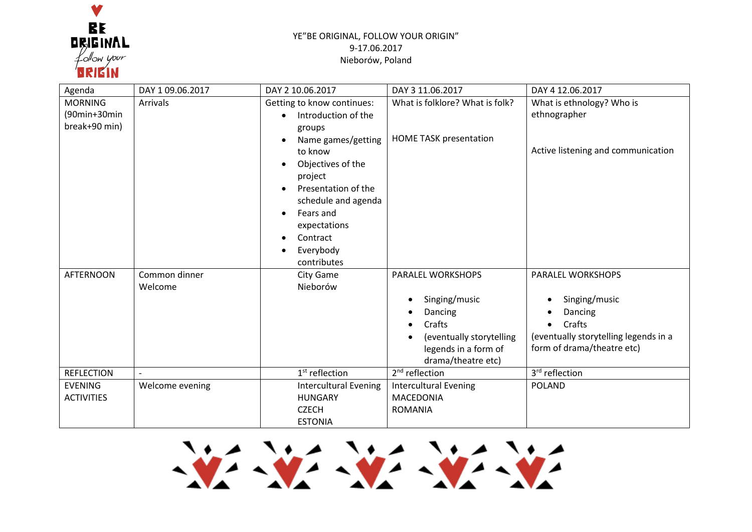

## YE"BE ORIGINAL, FOLLOW YOUR ORIGIN" 9-17.06.2017 Nieborów, Poland

| Agenda                                          | DAY 1 09.06.2017         | DAY 2 10.06.2017                                                                                                                                                                                                                                | DAY 3 11.06.2017                                                                                                                  | DAY 4 12.06.2017                                                                                                                            |
|-------------------------------------------------|--------------------------|-------------------------------------------------------------------------------------------------------------------------------------------------------------------------------------------------------------------------------------------------|-----------------------------------------------------------------------------------------------------------------------------------|---------------------------------------------------------------------------------------------------------------------------------------------|
| <b>MORNING</b><br>(90min+30min<br>break+90 min) | <b>Arrivals</b>          | Getting to know continues:<br>Introduction of the<br>groups<br>Name games/getting<br>to know<br>Objectives of the<br>project<br>Presentation of the<br>schedule and agenda<br>Fears and<br>expectations<br>Contract<br>Everybody<br>contributes | What is folklore? What is folk?<br><b>HOME TASK presentation</b>                                                                  | What is ethnology? Who is<br>ethnographer<br>Active listening and communication                                                             |
| <b>AFTERNOON</b>                                | Common dinner<br>Welcome | <b>City Game</b><br>Nieborów                                                                                                                                                                                                                    | PARALEL WORKSHOPS<br>Singing/music<br>Dancing<br>Crafts<br>(eventually storytelling<br>legends in a form of<br>drama/theatre etc) | PARALEL WORKSHOPS<br>Singing/music<br>Dancing<br>Crafts<br>$\bullet$<br>(eventually storytelling legends in a<br>form of drama/theatre etc) |
| <b>REFLECTION</b>                               |                          | $1st$ reflection                                                                                                                                                                                                                                | 2 <sup>nd</sup> reflection                                                                                                        | 3rd reflection                                                                                                                              |
| <b>EVENING</b><br><b>ACTIVITIES</b>             | Welcome evening          | <b>Intercultural Evening</b><br><b>HUNGARY</b><br><b>CZECH</b><br><b>ESTONIA</b>                                                                                                                                                                | <b>Intercultural Evening</b><br><b>MACEDONIA</b><br><b>ROMANIA</b>                                                                | <b>POLAND</b>                                                                                                                               |